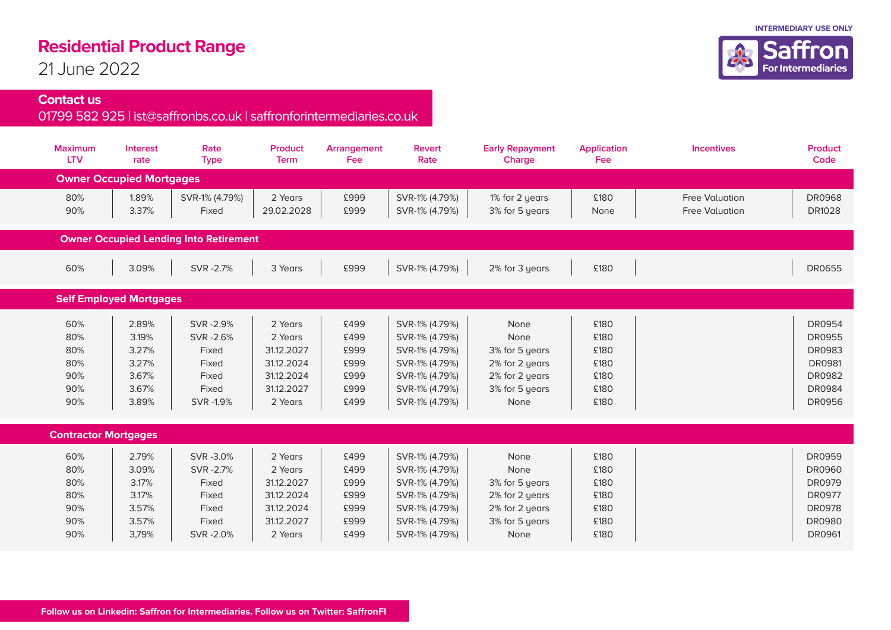## **Residential Product Range**

21 June 2022

## **Contact us**

## 01799 582 925 | ist@saffronbs.co.uk | saffronforintermediaries.co.uk

| <b>Maximum</b><br><b>LTV</b>                  | <b>Interest</b><br>rate                                     | Rate<br><b>Type</b>                                                   | <b>Product</b><br><b>Term</b>                                                         | Arrangement<br><b>Fee</b>                            | Revert<br>Rate                                                                                                             | <b>Early Repayment</b><br>Charge                                                             | <b>Application</b><br><b>Fee</b>                     | Incentives                                     | <b>Product</b><br>Code                                                                                              |  |  |  |  |
|-----------------------------------------------|-------------------------------------------------------------|-----------------------------------------------------------------------|---------------------------------------------------------------------------------------|------------------------------------------------------|----------------------------------------------------------------------------------------------------------------------------|----------------------------------------------------------------------------------------------|------------------------------------------------------|------------------------------------------------|---------------------------------------------------------------------------------------------------------------------|--|--|--|--|
| <b>Owner Occupied Mortgages</b>               |                                                             |                                                                       |                                                                                       |                                                      |                                                                                                                            |                                                                                              |                                                      |                                                |                                                                                                                     |  |  |  |  |
| 80%<br>90%                                    | 1.89%<br>3.37%                                              | SVR-1% (4.79%)<br>Fixed                                               | 2 Years<br>29.02.2028                                                                 | £999<br>£999                                         | SVR-1% (4.79%)<br>SVR-1% (4.79%)                                                                                           | 1% for 2 years<br>3% for 5 years                                                             | £180<br>None                                         | <b>Free Valuation</b><br><b>Free Valuation</b> | <b>DR0968</b><br><b>DR1028</b>                                                                                      |  |  |  |  |
| <b>Owner Occupied Lending Into Retirement</b> |                                                             |                                                                       |                                                                                       |                                                      |                                                                                                                            |                                                                                              |                                                      |                                                |                                                                                                                     |  |  |  |  |
| 60%                                           | 3.09%                                                       | SVR-2.7%                                                              | 3 Years                                                                               | £999                                                 | SVR-1% (4.79%)                                                                                                             | 2% for 3 years                                                                               | £180                                                 |                                                | <b>DR0655</b>                                                                                                       |  |  |  |  |
| <b>Self Employed Mortgages</b>                |                                                             |                                                                       |                                                                                       |                                                      |                                                                                                                            |                                                                                              |                                                      |                                                |                                                                                                                     |  |  |  |  |
| 60%<br>80%<br>80%<br>80%<br>90%<br>90%<br>90% | 2.89%<br>3.19%<br>3.27%<br>3.27%<br>3.67%<br>3.67%<br>3.89% | SVR-2.9%<br>SVR-2.6%<br>Fixed<br>Fixed<br>Fixed<br>Fixed<br>SVR -1.9% | 2 Years<br>2 Years<br>31.12.2027<br>31.12.2024<br>31.12.2024<br>31.12.2027<br>2 Years | £499<br>£499<br>£999<br>£999<br>£999<br>£999<br>£499 | SVR-1% (4.79%)<br>SVR-1% (4.79%)<br>SVR-1% (4.79%)<br>SVR-1% (4.79%)<br>SVR-1% (4.79%)<br>SVR-1% (4.79%)<br>SVR-1% (4.79%) | None<br>None<br>3% for 5 years<br>2% for 2 years<br>2% for 2 years<br>3% for 5 years<br>None | £180<br>£180<br>£180<br>£180<br>£180<br>£180<br>£180 |                                                | DR0954<br><b>DR0955</b><br><b>DR0983</b><br><b>DR0981</b><br><b>DR0982</b><br><b>DR0984</b><br><b>DR0956</b>        |  |  |  |  |
| <b>Contractor Mortgages</b>                   |                                                             |                                                                       |                                                                                       |                                                      |                                                                                                                            |                                                                                              |                                                      |                                                |                                                                                                                     |  |  |  |  |
| 60%<br>80%<br>80%<br>80%<br>90%<br>90%<br>90% | 2.79%<br>3.09%<br>3.17%<br>3.17%<br>3.57%<br>3.57%<br>3,79% | SVR-3.0%<br>SVR-2.7%<br>Fixed<br>Fixed<br>Fixed<br>Fixed<br>SVR-2.0%  | 2 Years<br>2 Years<br>31.12.2027<br>31.12.2024<br>31.12.2024<br>31.12.2027<br>2 Years | £499<br>£499<br>£999<br>£999<br>£999<br>£999<br>£499 | SVR-1% (4.79%)<br>SVR-1% (4.79%)<br>SVR-1% (4.79%)<br>SVR-1% (4.79%)<br>SVR-1% (4.79%)<br>SVR-1% (4.79%)<br>SVR-1% (4.79%) | None<br>None<br>3% for 5 years<br>2% for 2 years<br>2% for 2 years<br>3% for 5 years<br>None | £180<br>£180<br>£180<br>£180<br>£180<br>£180<br>£180 |                                                | <b>DR0959</b><br><b>DR0960</b><br><b>DR0979</b><br><b>DR0977</b><br><b>DR0978</b><br><b>DR0980</b><br><b>DR0961</b> |  |  |  |  |